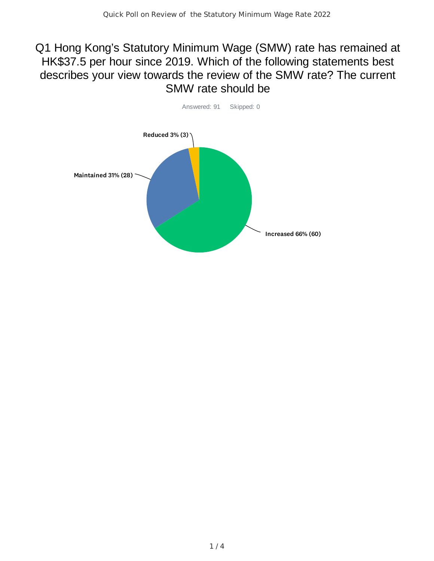## Q1 Hong Kong's Statutory Minimum Wage (SMW) rate has remained at HK\$37.5 per hour since 2019. Which of the following statements best describes your view towards the review of the SMW rate? The current SMW rate should be

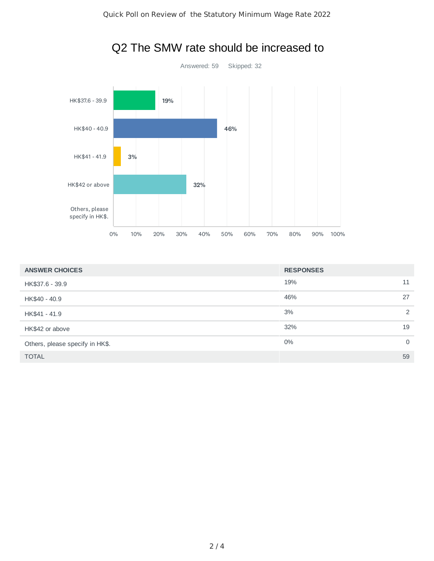

## Q2 The SMW rate should be increased to

| <b>ANSWER CHOICES</b>           | <b>RESPONSES</b>  |
|---------------------------------|-------------------|
| HK\$37.6 - 39.9                 | 19%<br>11         |
| HK\$40 - 40.9                   | 27<br>46%         |
| HK\$41 - 41.9                   | 3%<br>2           |
| HK\$42 or above                 | 19<br>32%         |
| Others, please specify in HK\$. | $0\%$<br>$\Omega$ |
| <b>TOTAL</b>                    | 59                |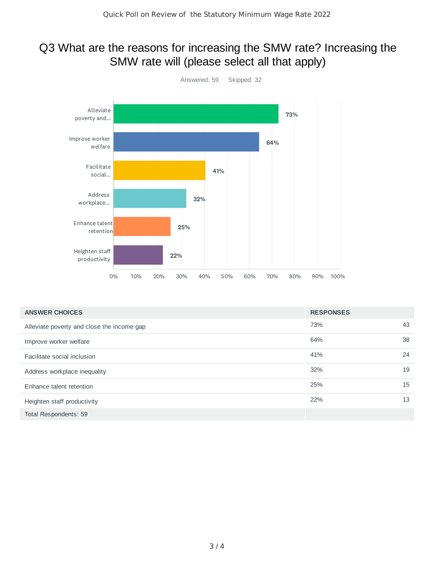## Q3 What are the reasons for increasing the SMW rate? Increasing the SMW rate will (please select all that apply)



| <b>ANSWER CHOICES</b>                      | <b>RESPONSES</b> |    |
|--------------------------------------------|------------------|----|
| Alleviate poverty and close the income gap | 73%              | 43 |
| Improve worker welfare                     | 64%              | 38 |
| Facilitate social inclusion                | 41%              | 24 |
| Address workplace inequality               | 32%              | 19 |
| Enhance talent retention                   | 25%              | 15 |
| Heighten staff productivity                | 22%              | 13 |
| <b>Total Respondents: 59</b>               |                  |    |